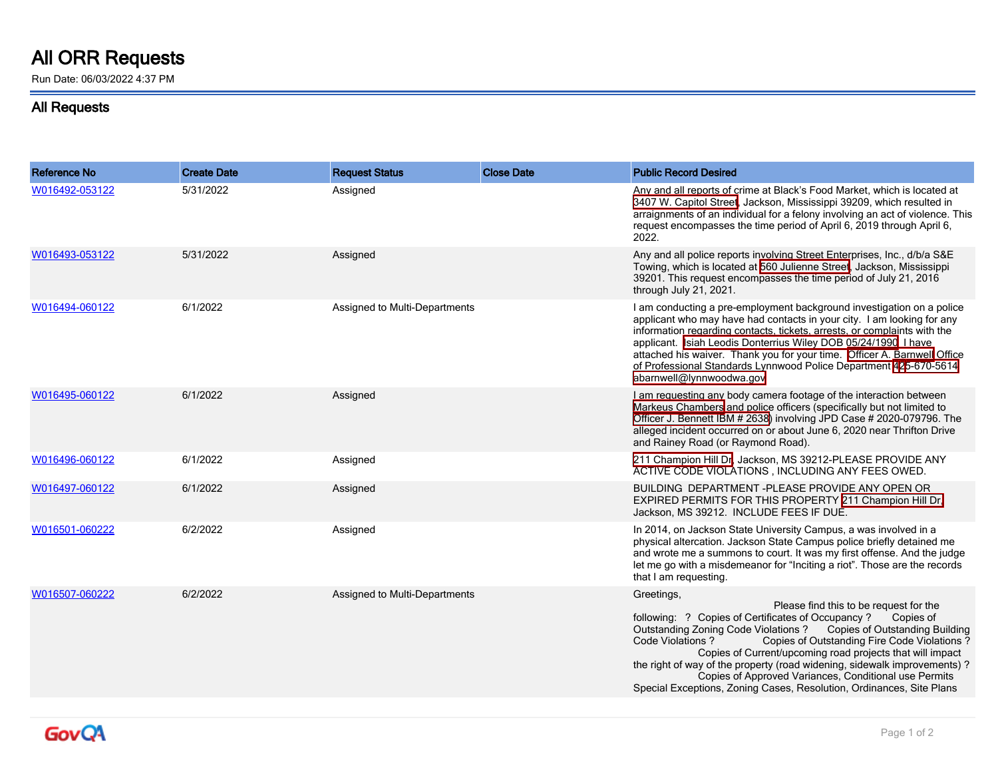## **All ORR Requests**

Run Date: 06/03/2022 4:37 PM

## **All Requests**

| <b>Reference No</b> | <b>Create Date</b> | <b>Request Status</b>         | <b>Close Date</b> | <b>Public Record Desired</b>                                                                                                                                                                                                                                                                                                                                                                                                                                                                                                                                 |
|---------------------|--------------------|-------------------------------|-------------------|--------------------------------------------------------------------------------------------------------------------------------------------------------------------------------------------------------------------------------------------------------------------------------------------------------------------------------------------------------------------------------------------------------------------------------------------------------------------------------------------------------------------------------------------------------------|
| W016492-053122      | 5/31/2022          | Assigned                      |                   | Any and all reports of crime at Black's Food Market, which is located at<br>3407 W. Capitol Street Jackson, Mississippi 39209, which resulted in<br>arraignments of an individual for a felony involving an act of violence. This<br>request encompasses the time period of April 6, 2019 through April 6,<br>2022.                                                                                                                                                                                                                                          |
| W016493-053122      | 5/31/2022          | Assigned                      |                   | Any and all police reports involving Street Enterprises, Inc., d/b/a S&E<br>Towing, which is located at 560 Julienne Street, Jackson, Mississippi<br>39201. This request encompasses the time period of July 21, 2016<br>through July 21, 2021.                                                                                                                                                                                                                                                                                                              |
| W016494-060122      | 6/1/2022           | Assigned to Multi-Departments |                   | I am conducting a pre-employment background investigation on a police<br>applicant who may have had contacts in your city. I am looking for any<br>information regarding contacts, tickets, arrests, or complaints with the<br>applicant. Isiah Leodis Donterrius Wiley DOB 05/24/1990   have<br>attached his waiver. Thank you for your time. Officer A. Barnwell Office<br>of Professional Standards Lynnwood Police Department 425-670-5614<br>abarnwell@lynnwoodwa.gov                                                                                   |
| W016495-060122      | 6/1/2022           | Assigned                      |                   | I am requesting any body camera footage of the interaction between<br>Markeus Chambers and police officers (specifically but not limited to<br>Officer J. Bennett IBM # 2638) involving JPD Case # 2020-079796. The<br>alleged incident occurred on or about June 6, 2020 near Thrifton Drive<br>and Rainey Road (or Raymond Road).                                                                                                                                                                                                                          |
| W016496-060122      | 6/1/2022           | Assigned                      |                   | 211 Champion Hill Dr. Jackson, MS 39212-PLEASE PROVIDE ANY<br>ACTIVE CODE VIOLATIONS, INCLUDING ANY FEES OWED.                                                                                                                                                                                                                                                                                                                                                                                                                                               |
| W016497-060122      | 6/1/2022           | Assigned                      |                   | BUILDING DEPARTMENT-PLEASE PROVIDE ANY OPEN OR<br>EXPIRED PERMITS FOR THIS PROPERTY 211 Champion Hill Dr.<br>Jackson, MS 39212. INCLUDE FEES IF DUE.                                                                                                                                                                                                                                                                                                                                                                                                         |
| W016501-060222      | 6/2/2022           | Assigned                      |                   | In 2014, on Jackson State University Campus, a was involved in a<br>physical altercation. Jackson State Campus police briefly detained me<br>and wrote me a summons to court. It was my first offense. And the judge<br>let me go with a misdemeanor for "Inciting a riot". Those are the records<br>that I am requesting.                                                                                                                                                                                                                                   |
| W016507-060222      | 6/2/2022           | Assigned to Multi-Departments |                   | Greetings,<br>Please find this to be request for the<br>following: ? Copies of Certificates of Occupancy ?<br>Copies of<br>Outstanding Zoning Code Violations?<br><b>Copies of Outstanding Building</b><br>Copies of Outstanding Fire Code Violations?<br><b>Code Violations?</b><br>Copies of Current/upcoming road projects that will impact<br>the right of way of the property (road widening, sidewalk improvements) ?<br>Copies of Approved Variances, Conditional use Permits<br>Special Exceptions, Zoning Cases, Resolution, Ordinances, Site Plans |